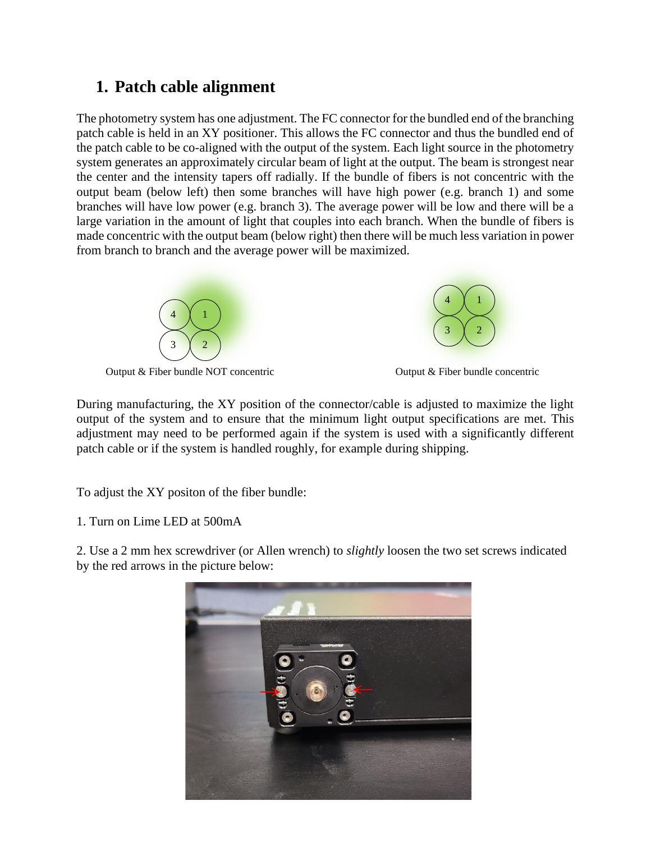## **1. Patch cable alignment**

The photometry system has one adjustment. The FC connector for the bundled end of the branching patch cable is held in an XY positioner. This allows the FC connector and thus the bundled end of the patch cable to be co-aligned with the output of the system. Each light source in the photometry system generates an approximately circular beam of light at the output. The beam is strongest near the center and the intensity tapers off radially. If the bundle of fibers is not concentric with the output beam (below left) then some branches will have high power (e.g. branch 1) and some branches will have low power (e.g. branch 3). The average power will be low and there will be a large variation in the amount of light that couples into each branch. When the bundle of fibers is made concentric with the output beam (below right) then there will be much less variation in power from branch to branch and the average power will be maximized.



Output & Fiber bundle NOT concentric Output & Fiber bundle concentric



During manufacturing, the XY position of the connector/cable is adjusted to maximize the light output of the system and to ensure that the minimum light output specifications are met. This adjustment may need to be performed again if the system is used with a significantly different patch cable or if the system is handled roughly, for example during shipping.

To adjust the XY positon of the fiber bundle:

1. Turn on Lime LED at 500mA

2. Use a 2 mm hex screwdriver (or Allen wrench) to *slightly* loosen the two set screws indicated by the red arrows in the picture below:

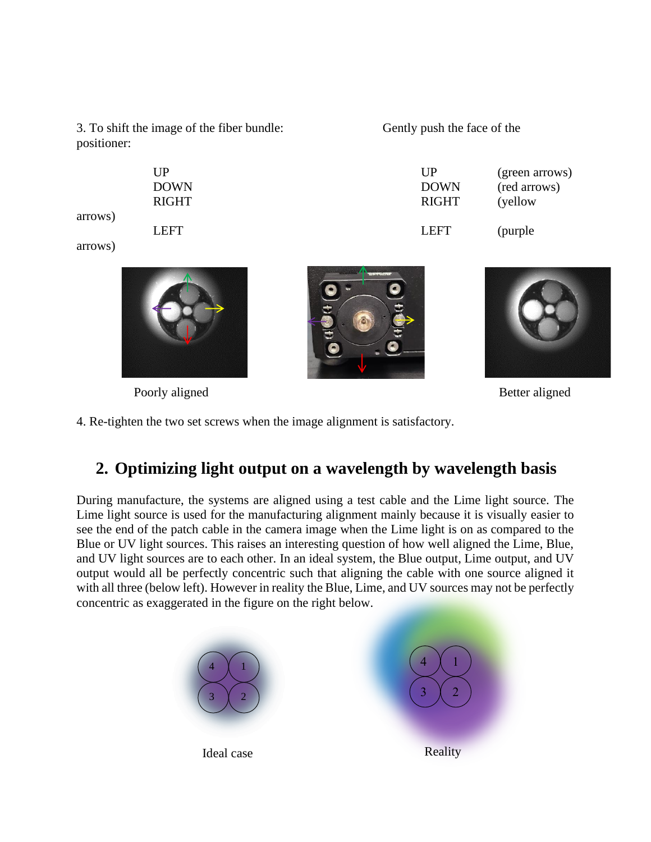3. To shift the image of the fiber bundle: positioner:

| Gently push the face of the |  |  |  |  |
|-----------------------------|--|--|--|--|
|-----------------------------|--|--|--|--|

| UP    | UP           | (green arrows) |
|-------|--------------|----------------|
| DOWN  | <b>DOWN</b>  | (red arrows)   |
| RIGHT | <b>RIGHT</b> | (yellow)       |
| LEFT  | LEFT         | (purple)       |

arrows)

arrows)



Poorly aligned Better aligned





4. Re-tighten the two set screws when the image alignment is satisfactory.

## **2. Optimizing light output on a wavelength by wavelength basis**

During manufacture, the systems are aligned using a test cable and the Lime light source. The Lime light source is used for the manufacturing alignment mainly because it is visually easier to see the end of the patch cable in the camera image when the Lime light is on as compared to the Blue or UV light sources. This raises an interesting question of how well aligned the Lime, Blue, and UV light sources are to each other. In an ideal system, the Blue output, Lime output, and UV output would all be perfectly concentric such that aligning the cable with one source aligned it with all three (below left). However in reality the Blue, Lime, and UV sources may not be perfectly concentric as exaggerated in the figure on the right below.